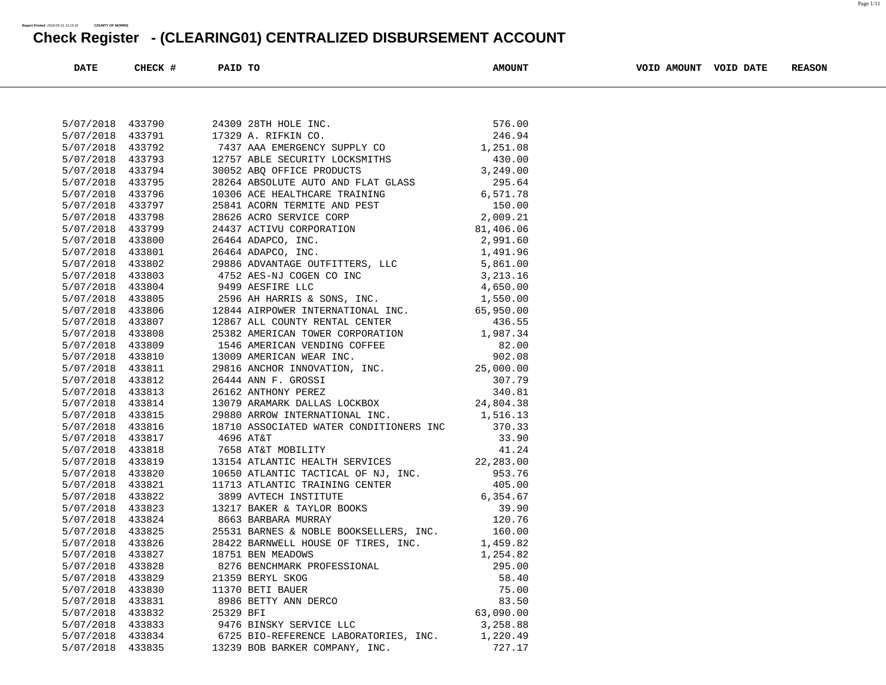| <b>DATE</b>                   | CHECK #          | PAID TO   |                                                                                                                                                                                                                                                  | <b>AMOUNT</b>      | VOID AMOUNT VOID DATE | <b>REASON</b> |
|-------------------------------|------------------|-----------|--------------------------------------------------------------------------------------------------------------------------------------------------------------------------------------------------------------------------------------------------|--------------------|-----------------------|---------------|
|                               |                  |           |                                                                                                                                                                                                                                                  |                    |                       |               |
|                               |                  |           |                                                                                                                                                                                                                                                  |                    |                       |               |
| 5/07/2018 433790              |                  |           | 24309 28TH HOLE INC.<br>17329 A. RIFKIN CO. 246.94<br>7437 AAA EMERGENCY SUPPLY CO 1,251.08<br>24309 28TH HOLE INC.                                                                                                                              |                    |                       |               |
| 5/07/2018                     | 433791           |           | 17329 A. RIFKIN CO.                                                                                                                                                                                                                              |                    |                       |               |
| 5/07/2018 433792              |                  |           |                                                                                                                                                                                                                                                  |                    |                       |               |
| 5/07/2018                     | 433793           |           | 12757 ABLE SECURITY LOCKSMITHS 430.00<br>30052 ABQ OFFICE PRODUCTS 430.00<br>28264 ABSOLUTE AUTO AND FLAT GLASS 295.64<br>10306 ACE HEALTHCARE TRAINING 6,571.78<br>25841 ACORN TERMITE AND PEST 150.00<br>28626 ACRO SERVICE CORP 2,009         |                    |                       |               |
| 5/07/2018 433794              |                  |           |                                                                                                                                                                                                                                                  |                    |                       |               |
| 5/07/2018                     | 433795           |           |                                                                                                                                                                                                                                                  |                    |                       |               |
| 5/07/2018                     | 433796           |           |                                                                                                                                                                                                                                                  |                    |                       |               |
| 5/07/2018                     | 433797           |           |                                                                                                                                                                                                                                                  |                    |                       |               |
| 5/07/2018 433798              |                  |           |                                                                                                                                                                                                                                                  |                    |                       |               |
| 5/07/2018 433799              |                  |           |                                                                                                                                                                                                                                                  |                    |                       |               |
| 5/07/2018                     | 433800           |           |                                                                                                                                                                                                                                                  |                    |                       |               |
| 5/07/2018 433801              |                  |           |                                                                                                                                                                                                                                                  |                    |                       |               |
| 5/07/2018 433802              |                  |           |                                                                                                                                                                                                                                                  |                    |                       |               |
| 5/07/2018 433803              |                  |           |                                                                                                                                                                                                                                                  |                    |                       |               |
| 5/07/2018                     | 433804           |           |                                                                                                                                                                                                                                                  |                    |                       |               |
| 5/07/2018 433805              |                  |           | 24437 ACITY CONFORMION<br>26464 ADAPCO, INC.<br>26464 ADAPCO, INC.<br>29886 ADVANTAGE OUTFITTERS, LLC<br>4752 AES-NJ COGEN CO INC<br>29886 ADVANTAGE OUTFITTERS, LLC<br>4752 AES-NJ COGEN CO INC<br>29844 AIRPOWER INC.<br>2844 ADAPCO INC.<br>2 |                    |                       |               |
| 5/07/2018<br>5/07/2018 433807 | 433806           |           | 12867 ALL COUNTY RENTAL CENTER                                                                                                                                                                                                                   |                    |                       |               |
|                               | 433808           |           |                                                                                                                                                                                                                                                  | 436.55             |                       |               |
| 5/07/2018<br>5/07/2018 433809 |                  |           |                                                                                                                                                                                                                                                  |                    |                       |               |
|                               |                  |           | 25382 AMERICAN TOWER CORPORATION<br>1,987.34<br>1546 AMERICAN VENDING COFFEE<br>29816 ANCHOR INNOVATION, INC.<br>29816 ANCHOR INNOVATION, INC.<br>266444 ANN F. GROSSI<br>266444 ANN F. GROSSI<br>266444 ANN F. GROSSI<br>266444 ANN F. GROSSI   |                    |                       |               |
| 5/07/2018                     | 433810           |           |                                                                                                                                                                                                                                                  |                    |                       |               |
| 5/07/2018 433811              |                  |           |                                                                                                                                                                                                                                                  |                    |                       |               |
| 5/07/2018 433812              |                  |           |                                                                                                                                                                                                                                                  |                    |                       |               |
| 5/07/2018 433813              |                  |           |                                                                                                                                                                                                                                                  |                    |                       |               |
| 5/07/2018 433814              |                  |           |                                                                                                                                                                                                                                                  |                    |                       |               |
| 5/07/2018                     | 433815           |           | 29880 ARROW INTERNATIONAL INC.<br>18710 ASSOCIATED WATER CONDITIONERS INC                                                                                                                                                                        | 1,516.13           |                       |               |
| 5/07/2018 433816              |                  | 4696 AT&T |                                                                                                                                                                                                                                                  | 370.33<br>33.90    |                       |               |
| 5/07/2018                     | 433817           |           |                                                                                                                                                                                                                                                  | 41.24              |                       |               |
| 5/07/2018                     | 433818           |           | 7658 AT&T MOBILITY                                                                                                                                                                                                                               |                    |                       |               |
| 5/07/2018                     | 433819           |           | 13154 ATLANTIC HEALTH SERVICES 22,283.00<br>10650 ATLANTIC TACTICAL OF NJ, INC.                                                                                                                                                                  |                    |                       |               |
| 5/07/2018 433820              |                  |           |                                                                                                                                                                                                                                                  | 953.76<br>405.00   |                       |               |
| 5/07/2018                     | 433821<br>433822 |           | 11713 ATLANTIC TRAINING CENTER<br>3899 AVTECH INSTITUTE 6,354.67<br>13217 BAKER & TAYLOR BOOKS 39.90<br>0662 BARRARA MIRRAY 120.76                                                                                                               |                    |                       |               |
| 5/07/2018                     |                  |           |                                                                                                                                                                                                                                                  |                    |                       |               |
| 5/07/2018<br>5/07/2018 433824 | 433823           |           |                                                                                                                                                                                                                                                  |                    |                       |               |
| 5/07/2018 433825              |                  |           | 25531 BARNES & NOBLE BOOKSELLERS, INC. 160.00                                                                                                                                                                                                    |                    |                       |               |
| 5/07/2018 433826              |                  |           | 28422 BARNWELL HOUSE OF TIRES, INC.                                                                                                                                                                                                              |                    |                       |               |
| 5/07/2018                     | 433827           |           | 18751 BEN MEADOWS                                                                                                                                                                                                                                | 1,459.82           |                       |               |
| 5/07/2018                     | 433828           |           | 8276 BENCHMARK PROFESSIONAL                                                                                                                                                                                                                      | 1,254.82<br>295.00 |                       |               |
|                               | 433829           |           |                                                                                                                                                                                                                                                  | 58.40              |                       |               |
| 5/07/2018<br>5/07/2018        |                  |           | 21359 BERYL SKOG                                                                                                                                                                                                                                 | 75.00              |                       |               |
| 5/07/2018                     | 433830           |           | 11370 BETI BAUER                                                                                                                                                                                                                                 | 83.50              |                       |               |
| 5/07/2018                     | 433831<br>433832 | 25329 BFI | 8986 BETTY ANN DERCO                                                                                                                                                                                                                             | 63,090.00          |                       |               |
| 5/07/2018                     | 433833           |           | 9476 BINSKY SERVICE LLC                                                                                                                                                                                                                          | 3,258.88           |                       |               |
|                               |                  |           |                                                                                                                                                                                                                                                  |                    |                       |               |
| 5/07/2018                     | 433834           |           | 6725 BIO-REFERENCE LABORATORIES, INC.<br>13239 BOB BARKER COMPANY, INC.                                                                                                                                                                          | 1,220.49<br>727.17 |                       |               |
| 5/07/2018 433835              |                  |           |                                                                                                                                                                                                                                                  |                    |                       |               |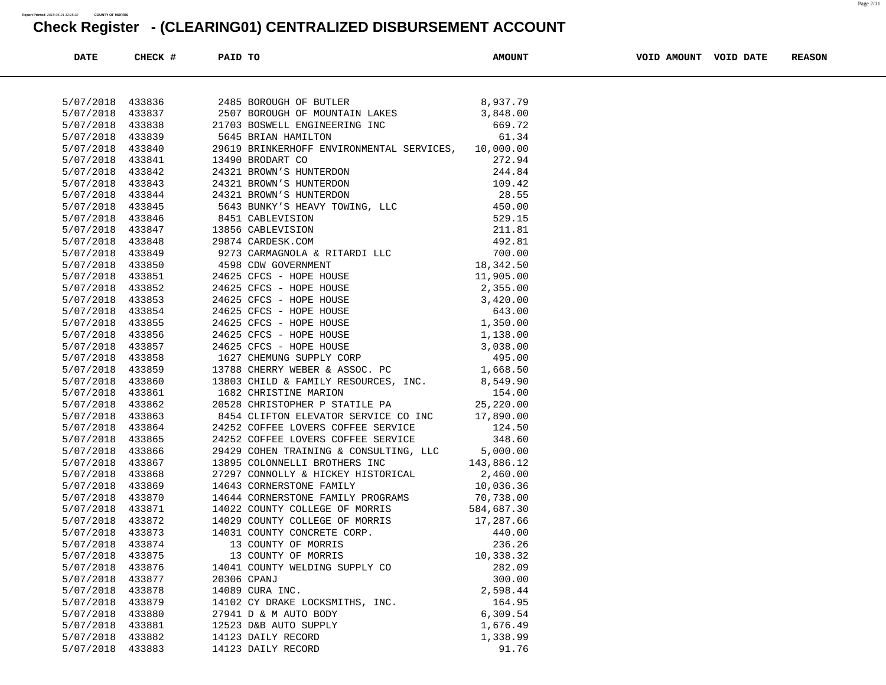| <b>DATE</b>      | CHECK # | PAID TO     |                                                                                                                            | <b>AMOUNT</b>          | VOID AMOUNT VOID DATE | <b>REASON</b> |
|------------------|---------|-------------|----------------------------------------------------------------------------------------------------------------------------|------------------------|-----------------------|---------------|
|                  |         |             |                                                                                                                            |                        |                       |               |
| 5/07/2018 433836 |         |             | 2485 BOROUGH OF BUTLER                                                                                                     | 8,937.79               |                       |               |
| 5/07/2018        | 433837  |             | 2507 BOROUGH OF MOUNTAIN LAKES                                                                                             | 3,848.00               |                       |               |
| 5/07/2018        | 433838  |             | 21703 BOSWELL ENGINEERING INC                                                                                              | 669.72                 |                       |               |
| 5/07/2018        | 433839  |             | 5645 BRIAN HAMILTON                                                                                                        | 61.34                  |                       |               |
| 5/07/2018        | 433840  |             | 29619 BRINKERHOFF ENVIRONMENTAL SERVICES, 10,000.00                                                                        |                        |                       |               |
| 5/07/2018        | 433841  |             | 13490 BRODART CO                                                                                                           | 272.94                 |                       |               |
| 5/07/2018        | 433842  |             | 24321 BROWN'S HUNTERDON                                                                                                    | 244.84                 |                       |               |
| 5/07/2018        | 433843  |             |                                                                                                                            |                        |                       |               |
| 5/07/2018        | 433844  |             |                                                                                                                            |                        |                       |               |
| 5/07/2018        | 433845  |             |                                                                                                                            |                        |                       |               |
| 5/07/2018        | 433846  |             |                                                                                                                            |                        |                       |               |
| 5/07/2018        | 433847  |             |                                                                                                                            |                        |                       |               |
| 5/07/2018        | 433848  |             |                                                                                                                            |                        |                       |               |
| 5/07/2018        | 433849  |             |                                                                                                                            |                        |                       |               |
| 5/07/2018        | 433850  |             |                                                                                                                            |                        |                       |               |
| 5/07/2018        | 433851  |             |                                                                                                                            |                        |                       |               |
| 5/07/2018        | 433852  |             |                                                                                                                            |                        |                       |               |
| 5/07/2018        | 433853  |             | 24625 CFCS - HOPE HOUSE                                                                                                    |                        |                       |               |
| 5/07/2018        | 433854  |             | 24625 CFCS - HOPE HOUSE                                                                                                    |                        |                       |               |
| 5/07/2018        | 433855  |             | $2,355.00$<br>$3,420.00$<br>$643.00$<br>$1,350.00$<br>24625 CFCS - HOPE HOUSE                                              |                        |                       |               |
| 5/07/2018        | 433856  |             | 24625 CFCS - HOPE HOUSE                                                                                                    | 1,138.00               |                       |               |
| 5/07/2018        | 433857  |             | 24625 CFCS - HOPE HOUSE                                                                                                    | 3,038.00               |                       |               |
| 5/07/2018        | 433858  |             |                                                                                                                            |                        |                       |               |
| 5/07/2018        | 433859  |             | 1627 CHEMUNG SUPPLY CORP 13788 CHERRY WEBER & ASSOC. PC 1,668.50                                                           |                        |                       |               |
| 5/07/2018        | 433860  |             | 13803 CHILD & FAMILY RESOURCES, INC. 8,549.90                                                                              |                        |                       |               |
| 5/07/2018        | 433861  |             | 1682 CHRISTINE MARION 154.00<br>20528 CHRISTOPHER P STATILE PA 25,220.00<br>8454 CLIFTON ELEVATOR SERVICE CO INC 17,890.00 |                        |                       |               |
| 5/07/2018        | 433862  |             |                                                                                                                            |                        |                       |               |
| 5/07/2018        | 433863  |             |                                                                                                                            |                        |                       |               |
| 5/07/2018        | 433864  |             | 24252 COFFEE LOVERS COFFEE SERVICE 124.50                                                                                  |                        |                       |               |
| 5/07/2018        | 433865  |             | 24252 COFFEE LOVERS COFFEE SERVICE                                                                                         | 348.60                 |                       |               |
| 5/07/2018        | 433866  |             | 29429 COHEN TRAINING & CONSULTING, LLC 5,000.00                                                                            |                        |                       |               |
| 5/07/2018        | 433867  |             | 143,886.12<br>13895 COLONNELLI BROTHERS INC                                                                                |                        |                       |               |
| 5/07/2018        | 433868  |             | 27297 CONNOLLY & HICKEY HISTORICAL                                                                                         | 2,460.00               |                       |               |
| 5/07/2018        | 433869  |             | 14643 CORNERSTONE FAMILY                                                                                                   | 10,036.36<br>70,738.00 |                       |               |
| 5/07/2018        | 433870  |             | 14644 CORNERSTONE FAMILY PROGRAMS                                                                                          |                        |                       |               |
| 5/07/2018        | 433871  |             | 14022 COUNTY COLLEGE OF MORRIS                                                                                             | 584,687.30             |                       |               |
| 5/07/2018        | 433872  |             | 14029 COUNTY COLLEGE OF MORRIS 17,287.66                                                                                   |                        |                       |               |
| 5/07/2018        | 433873  |             | 14031 COUNTY CONCRETE CORP.<br>13 COUNTY OF MORRIS                                                                         | 440.00                 |                       |               |
| 5/07/2018        | 433874  |             |                                                                                                                            | 236.26                 |                       |               |
| 5/07/2018 433875 |         |             | 13 COUNTY OF MORRIS                                                                                                        | 10,338.32              |                       |               |
| 5/07/2018        | 433876  |             | 14041 COUNTY WELDING SUPPLY CO                                                                                             | 282.09                 |                       |               |
| 5/07/2018        | 433877  | 20306 CPANJ |                                                                                                                            | 300.00                 |                       |               |
| 5/07/2018        | 433878  |             | 14089 CURA INC.                                                                                                            | 2,598.44               |                       |               |
| 5/07/2018        | 433879  |             | 14102 CY DRAKE LOCKSMITHS, INC.                                                                                            | 164.95                 |                       |               |
| 5/07/2018        | 433880  |             | 27941 D & M AUTO BODY                                                                                                      | 6,309.54               |                       |               |
| 5/07/2018        | 433881  |             | 12523 D&B AUTO SUPPLY                                                                                                      | 1,676.49               |                       |               |
| 5/07/2018        | 433882  |             | 14123 DAILY RECORD                                                                                                         | 1,338.99               |                       |               |
| 5/07/2018        | 433883  |             | 14123 DAILY RECORD                                                                                                         | 91.76                  |                       |               |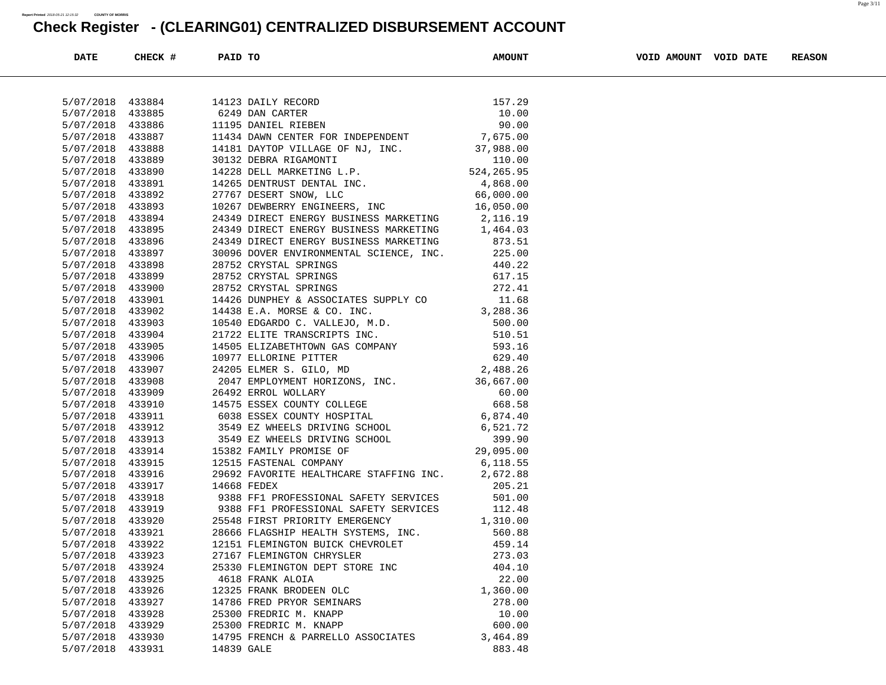| <b>DATE</b>      | CHECK # | PAID TO                                                                                                                                                                                                                                    | <b>AMOUNT</b>              | VOID AMOUNT VOID DATE | <b>REASON</b> |
|------------------|---------|--------------------------------------------------------------------------------------------------------------------------------------------------------------------------------------------------------------------------------------------|----------------------------|-----------------------|---------------|
|                  |         |                                                                                                                                                                                                                                            |                            |                       |               |
| 5/07/2018 433884 |         | 14123 DAILY RECORD<br>6249 DAN CARTER<br>11195 DANIEL RIEBEN<br>11195 DANIEL RIEBEN<br>26.00                                                                                                                                               |                            |                       |               |
| 5/07/2018        | 433885  |                                                                                                                                                                                                                                            |                            |                       |               |
| 5/07/2018        | 433886  |                                                                                                                                                                                                                                            |                            |                       |               |
| 5/07/2018        | 433887  |                                                                                                                                                                                                                                            |                            |                       |               |
| 5/07/2018        | 433888  |                                                                                                                                                                                                                                            |                            |                       |               |
| 5/07/2018        | 433889  | 1195 DANIEL RIEBEN<br>1434 DAWN CENTER FOR INDEPENDENT 7,675.00<br>14181 DAYTOP VILLAGE OF NJ, INC. 37,988.00<br>30132 DEBRA RIGAMONTI 110.00<br>14228 DELL MARKETING L.P. 524,265.95<br>14265 DENTRUST DENTAL INC. 4,868.00<br>27767 DESE |                            |                       |               |
| 5/07/2018        | 433890  |                                                                                                                                                                                                                                            |                            |                       |               |
| 5/07/2018        | 433891  |                                                                                                                                                                                                                                            |                            |                       |               |
| 5/07/2018        | 433892  |                                                                                                                                                                                                                                            |                            |                       |               |
| 5/07/2018        | 433893  |                                                                                                                                                                                                                                            |                            |                       |               |
| 5/07/2018        | 433894  |                                                                                                                                                                                                                                            |                            |                       |               |
| 5/07/2018        | 433895  |                                                                                                                                                                                                                                            |                            |                       |               |
| 5/07/2018        | 433896  | 24349 DIRECT ENERGY BUSINESS MARKETING 1,464.03<br>24349 DIRECT ENERGY BUSINESS MARKETING 873.51<br>24349 DIRECT ENERGY BUSINESS MARKETING                                                                                                 |                            |                       |               |
| 5/07/2018        | 433897  | 30096 DOVER ENVIRONMENTAL SCIENCE, INC. 225.00                                                                                                                                                                                             |                            |                       |               |
| 5/07/2018        | 433898  |                                                                                                                                                                                                                                            |                            |                       |               |
| 5/07/2018        | 433899  |                                                                                                                                                                                                                                            |                            |                       |               |
| 5/07/2018        | 433900  |                                                                                                                                                                                                                                            |                            |                       |               |
| 5/07/2018        | 433901  |                                                                                                                                                                                                                                            |                            |                       |               |
| 5/07/2018        | 433902  |                                                                                                                                                                                                                                            |                            |                       |               |
| 5/07/2018        | 433903  |                                                                                                                                                                                                                                            |                            |                       |               |
| 5/07/2018        | 433904  |                                                                                                                                                                                                                                            |                            |                       |               |
| 5/07/2018        | 433905  |                                                                                                                                                                                                                                            |                            |                       |               |
| 5/07/2018        | 433906  |                                                                                                                                                                                                                                            |                            |                       |               |
| 5/07/2018        | 433907  |                                                                                                                                                                                                                                            |                            |                       |               |
| 5/07/2018        | 433908  |                                                                                                                                                                                                                                            |                            |                       |               |
| 5/07/2018        | 433909  |                                                                                                                                                                                                                                            |                            |                       |               |
| 5/07/2018        | 433910  |                                                                                                                                                                                                                                            |                            |                       |               |
| 5/07/2018        | 433911  |                                                                                                                                                                                                                                            |                            |                       |               |
| 5/07/2018        | 433912  |                                                                                                                                                                                                                                            |                            |                       |               |
| 5/07/2018        | 433913  |                                                                                                                                                                                                                                            |                            |                       |               |
| 5/07/2018        | 433914  |                                                                                                                                                                                                                                            |                            |                       |               |
| 5/07/2018        | 433915  |                                                                                                                                                                                                                                            |                            |                       |               |
| 5/07/2018        | 433916  | 29692 FAVORITE HEALTHCARE STAFFING INC. 2,672.88                                                                                                                                                                                           |                            |                       |               |
| 5/07/2018        | 433917  | 14668 FEDEX                                                                                                                                                                                                                                |                            |                       |               |
| 5/07/2018        | 433918  | 9388 FF1 PROFESSIONAL SAFETY SERVICES                                                                                                                                                                                                      | 205.21<br>501.00<br>501.00 |                       |               |
| 5/07/2018        | 433919  | 9388 FF1 PROFESSIONAL SAFETY SERVICES                                                                                                                                                                                                      | 112.48                     |                       |               |
| 5/07/2018        | 433920  | 25548 FIRST PRIORITY EMERGENCY                                                                                                                                                                                                             | 1,310.00                   |                       |               |
| 5/07/2018        | 433921  | 28666 FLAGSHIP HEALTH SYSTEMS, INC.                                                                                                                                                                                                        | 560.88                     |                       |               |
| 5/07/2018 433922 |         | 12151 FLEMINGTON BUICK CHEVROLET                                                                                                                                                                                                           | 459.14                     |                       |               |
| 5/07/2018        | 433923  | 27167 FLEMINGTON CHRYSLER                                                                                                                                                                                                                  | 273.03                     |                       |               |
| 5/07/2018        | 433924  | 25330 FLEMINGTON DEPT STORE INC                                                                                                                                                                                                            | 404.10                     |                       |               |
| 5/07/2018        | 433925  | 4618 FRANK ALOIA                                                                                                                                                                                                                           | 22.00                      |                       |               |
| 5/07/2018        | 433926  | 12325 FRANK BRODEEN OLC                                                                                                                                                                                                                    | 1,360.00                   |                       |               |
| 5/07/2018        | 433927  | 14786 FRED PRYOR SEMINARS                                                                                                                                                                                                                  | 278.00                     |                       |               |
| 5/07/2018        | 433928  | 25300 FREDRIC M. KNAPP                                                                                                                                                                                                                     | 10.00                      |                       |               |
| 5/07/2018        | 433929  | 25300 FREDRIC M. KNAPP                                                                                                                                                                                                                     | 600.00                     |                       |               |
| 5/07/2018        | 433930  | 14795 FRENCH & PARRELLO ASSOCIATES                                                                                                                                                                                                         | 3,464.89                   |                       |               |
| 5/07/2018        | 433931  | 14839 GALE                                                                                                                                                                                                                                 | 883.48                     |                       |               |
|                  |         |                                                                                                                                                                                                                                            |                            |                       |               |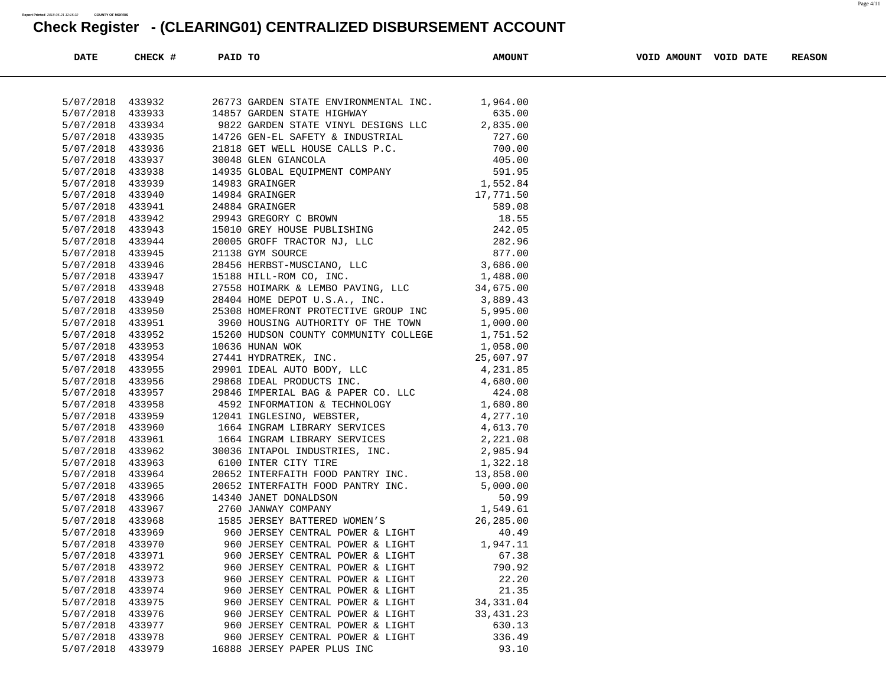| <b>DATE</b>      | CHECK # | PAID TO |                                                                                         | <b>AMOUNT</b> | VOID AMOUNT VOID DATE | <b>REASON</b> |
|------------------|---------|---------|-----------------------------------------------------------------------------------------|---------------|-----------------------|---------------|
|                  |         |         |                                                                                         |               |                       |               |
|                  |         |         |                                                                                         |               |                       |               |
| 5/07/2018 433932 |         |         | 26773 GARDEN STATE ENVIRONMENTAL INC. 1,964.00                                          |               |                       |               |
| 5/07/2018        | 433933  |         | 14857 GARDEN STATE HIGHWAY                                                              | 635.00        |                       |               |
| 5/07/2018        | 433934  |         |                                                                                         |               |                       |               |
| 5/07/2018 433935 |         |         |                                                                                         |               |                       |               |
| 5/07/2018 433936 |         |         |                                                                                         |               |                       |               |
| 5/07/2018        | 433937  |         |                                                                                         |               |                       |               |
| 5/07/2018 433938 |         |         |                                                                                         |               |                       |               |
| 5/07/2018 433939 |         |         |                                                                                         |               |                       |               |
| 5/07/2018 433940 |         |         |                                                                                         |               |                       |               |
| 5/07/2018        | 433941  |         |                                                                                         |               |                       |               |
| 5/07/2018 433942 |         |         |                                                                                         |               |                       |               |
| 5/07/2018 433943 |         |         |                                                                                         |               |                       |               |
| 5/07/2018 433944 |         |         |                                                                                         |               |                       |               |
| 5/07/2018 433945 |         |         |                                                                                         |               |                       |               |
| 5/07/2018 433946 |         |         |                                                                                         |               |                       |               |
| 5/07/2018 433947 |         |         |                                                                                         |               |                       |               |
| 5/07/2018        | 433948  |         |                                                                                         |               |                       |               |
| 5/07/2018        | 433949  |         |                                                                                         |               |                       |               |
| 5/07/2018 433950 |         |         | 28404 HOME DEPOT U.S.A., INC. 3,889.43<br>25308 HOMEFRONT PROTECTIVE GROUP INC 5,995.00 |               |                       |               |
| 5/07/2018 433951 |         |         | 3960 HOUSING AUTHORITY OF THE TOWN 1,000.00                                             |               |                       |               |
| 5/07/2018        | 433952  |         | 15260 HUDSON COUNTY COMMUNITY COLLEGE 1,751.52                                          |               |                       |               |
| 5/07/2018 433953 |         |         |                                                                                         |               |                       |               |
| 5/07/2018 433954 |         |         |                                                                                         |               |                       |               |
| 5/07/2018 433955 |         |         |                                                                                         |               |                       |               |
| 5/07/2018        | 433956  |         |                                                                                         |               |                       |               |
| 5/07/2018 433957 |         |         |                                                                                         |               |                       |               |
| 5/07/2018 433958 |         |         |                                                                                         |               |                       |               |
| 5/07/2018 433959 |         |         |                                                                                         |               |                       |               |
| 5/07/2018        | 433960  |         |                                                                                         |               |                       |               |
| 5/07/2018 433961 |         |         |                                                                                         |               |                       |               |
| 5/07/2018 433962 |         |         |                                                                                         |               |                       |               |
| 5/07/2018        | 433963  |         |                                                                                         |               |                       |               |
| 5/07/2018        | 433964  |         |                                                                                         |               |                       |               |
| 5/07/2018 433965 |         |         |                                                                                         |               |                       |               |
| 5/07/2018 433966 |         |         |                                                                                         |               |                       |               |
| 5/07/2018        | 433967  |         |                                                                                         |               |                       |               |
| 5/07/2018        | 433968  |         |                                                                                         |               |                       |               |
| 5/07/2018 433969 |         |         |                                                                                         |               |                       |               |
| 5/07/2018 433970 |         |         | 960 JERSEY CENTRAL POWER & LIGHT 1,947.11                                               |               |                       |               |
| 5/07/2018        | 433971  |         | 960 JERSEY CENTRAL POWER & LIGHT                                                        | 67.38         |                       |               |
| 5/07/2018        | 433972  |         | 960 JERSEY CENTRAL POWER & LIGHT                                                        | 790.92        |                       |               |
| 5/07/2018        | 433973  |         | 960 JERSEY CENTRAL POWER & LIGHT                                                        | 22.20         |                       |               |
| 5/07/2018        | 433974  |         | 960 JERSEY CENTRAL POWER & LIGHT                                                        | 21.35         |                       |               |
| 5/07/2018        | 433975  |         | 960 JERSEY CENTRAL POWER & LIGHT                                                        | 34, 331.04    |                       |               |
| 5/07/2018        | 433976  |         | 960 JERSEY CENTRAL POWER & LIGHT                                                        | 33, 431. 23   |                       |               |
| 5/07/2018        | 433977  |         | 960 JERSEY CENTRAL POWER & LIGHT                                                        | 630.13        |                       |               |
| 5/07/2018        | 433978  |         | 960 JERSEY CENTRAL POWER & LIGHT                                                        | 336.49        |                       |               |
| 5/07/2018        | 433979  |         | 16888 JERSEY PAPER PLUS INC                                                             | 93.10         |                       |               |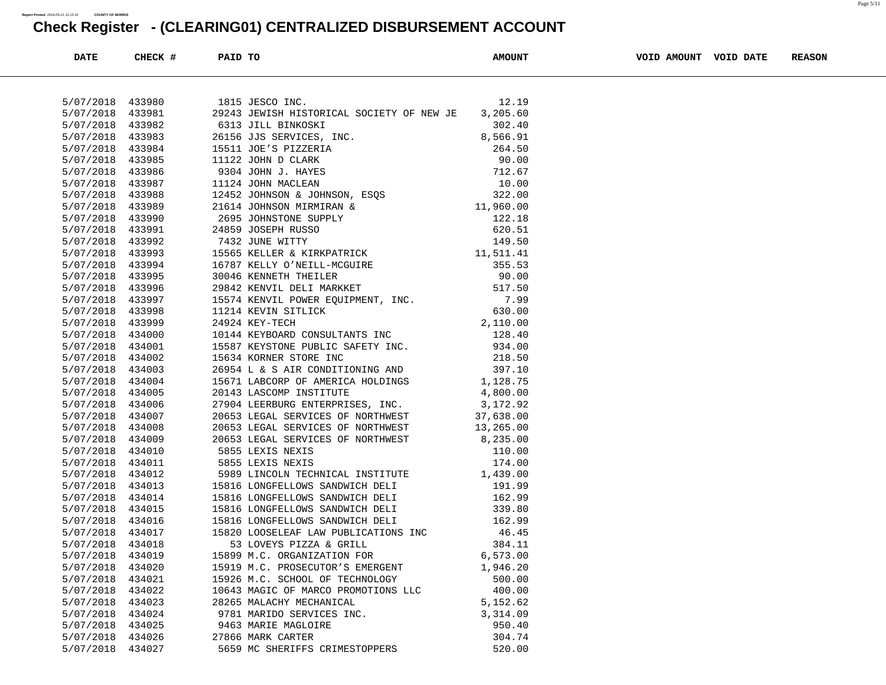| <b>DATE</b>      | CHECK # | PAID TO |                                                                                                                                                             | <b>AMOUNT</b> | VOID AMOUNT VOID DATE | <b>REASON</b> |
|------------------|---------|---------|-------------------------------------------------------------------------------------------------------------------------------------------------------------|---------------|-----------------------|---------------|
|                  |         |         |                                                                                                                                                             |               |                       |               |
| 5/07/2018 433980 |         |         | 1815 JESCO INC.                                                                                                                                             | 12.19         |                       |               |
| 5/07/2018 433981 |         |         | 29243 JEWISH HISTORICAL SOCIETY OF NEW JE                                                                                                                   | 3,205.60      |                       |               |
| 5/07/2018 433982 |         |         |                                                                                                                                                             |               |                       |               |
| 5/07/2018        | 433983  |         |                                                                                                                                                             |               |                       |               |
| 5/07/2018        | 433984  |         |                                                                                                                                                             |               |                       |               |
| 5/07/2018 433985 |         |         |                                                                                                                                                             |               |                       |               |
| 5/07/2018 433986 |         |         |                                                                                                                                                             |               |                       |               |
| 5/07/2018        | 433987  |         |                                                                                                                                                             |               |                       |               |
| 5/07/2018        | 433988  |         |                                                                                                                                                             |               |                       |               |
| 5/07/2018 433989 |         |         |                                                                                                                                                             |               |                       |               |
| 5/07/2018 433990 |         |         |                                                                                                                                                             |               |                       |               |
| 5/07/2018        | 433991  |         |                                                                                                                                                             |               |                       |               |
| 5/07/2018        | 433992  |         |                                                                                                                                                             |               |                       |               |
| 5/07/2018 433993 |         |         |                                                                                                                                                             |               |                       |               |
| 5/07/2018 433994 |         |         |                                                                                                                                                             |               |                       |               |
| 5/07/2018        | 433995  |         |                                                                                                                                                             |               |                       |               |
| 5/07/2018 433996 |         |         |                                                                                                                                                             |               |                       |               |
| 5/07/2018        | 433997  |         |                                                                                                                                                             |               |                       |               |
| 5/07/2018        | 433998  |         |                                                                                                                                                             |               |                       |               |
| 5/07/2018        | 433999  |         |                                                                                                                                                             |               |                       |               |
| 5/07/2018 434000 |         |         |                                                                                                                                                             |               |                       |               |
| 5/07/2018        | 434001  |         |                                                                                                                                                             |               |                       |               |
| 5/07/2018        | 434002  |         |                                                                                                                                                             |               |                       |               |
| 5/07/2018        | 434003  |         |                                                                                                                                                             |               |                       |               |
| 5/07/2018 434004 |         |         | 120.40<br>15587 KEYSTONE PUBLIC SAFETY INC.<br>15634 KORNER STORE INC.<br>26954 L & S AIR CONDITIONING AND<br>15671 LABCORP OF AMERICA HOLDINGS<br>1,128.75 |               |                       |               |
| 5/07/2018        | 434005  |         | 4,800.00<br>20143 LASCOMP INSTITUTE                                                                                                                         |               |                       |               |
| 5/07/2018        | 434006  |         |                                                                                                                                                             |               |                       |               |
| 5/07/2018        | 434007  |         | 27904 LEERBURG ENTERPRISES, INC. 3,172.92<br>20653 LEGAL SERVICES OF NORTHWEST 37,638.00<br>20653 LEGAL SERVICES OF NORTHWEST 13,265.00                     |               |                       |               |
| 5/07/2018        | 434008  |         |                                                                                                                                                             |               |                       |               |
| 5/07/2018        | 434009  |         | 20653 LEGAL SERVICES OF NORTHWEST 8,235.00                                                                                                                  |               |                       |               |
| 5/07/2018        | 434010  |         | 5855 LEXIS NEXIS                                                                                                                                            |               |                       |               |
| 5/07/2018 434011 |         |         | $110.00$<br>$174.00$<br>5855 LEXIS NEXIS                                                                                                                    |               |                       |               |
| 5/07/2018        | 434012  |         | 5989 LINCOLN TECHNICAL INSTITUTE 1,439.00                                                                                                                   |               |                       |               |
| 5/07/2018        | 434013  |         | 15816 LONGFELLOWS SANDWICH DELI 191.99                                                                                                                      |               |                       |               |
| 5/07/2018        | 434014  |         |                                                                                                                                                             |               |                       |               |
| 5/07/2018 434015 |         |         |                                                                                                                                                             |               |                       |               |
| 5/07/2018 434016 |         |         | 15816 LONGFELLOWS SANDWICH DELI                                                                                                                             | 162.99        |                       |               |
| 5/07/2018        | 434017  |         | 15820 LOOSELEAF LAW PUBLICATIONS INC                                                                                                                        | 46.45         |                       |               |
| 5/07/2018        | 434018  |         | 53 LOVEYS PIZZA & GRILL                                                                                                                                     | 384.11        |                       |               |
| 5/07/2018 434019 |         |         | 15899 M.C. ORGANIZATION FOR                                                                                                                                 | 6,573.00      |                       |               |
| 5/07/2018        | 434020  |         | 15919 M.C. PROSECUTOR'S EMERGENT                                                                                                                            | 1,946.20      |                       |               |
| 5/07/2018        | 434021  |         | 15926 M.C. SCHOOL OF TECHNOLOGY                                                                                                                             | 500.00        |                       |               |
| 5/07/2018        | 434022  |         | 10643 MAGIC OF MARCO PROMOTIONS LLC                                                                                                                         | 400.00        |                       |               |
| 5/07/2018        | 434023  |         | 28265 MALACHY MECHANICAL                                                                                                                                    | 5,152.62      |                       |               |
| 5/07/2018        | 434024  |         | 9781 MARIDO SERVICES INC.                                                                                                                                   | 3,314.09      |                       |               |
| 5/07/2018        | 434025  |         | 9463 MARIE MAGLOIRE                                                                                                                                         | 950.40        |                       |               |
| 5/07/2018        | 434026  |         | 27866 MARK CARTER                                                                                                                                           | 304.74        |                       |               |
| 5/07/2018 434027 |         |         | 5659 MC SHERIFFS CRIMESTOPPERS                                                                                                                              | 520.00        |                       |               |
|                  |         |         |                                                                                                                                                             |               |                       |               |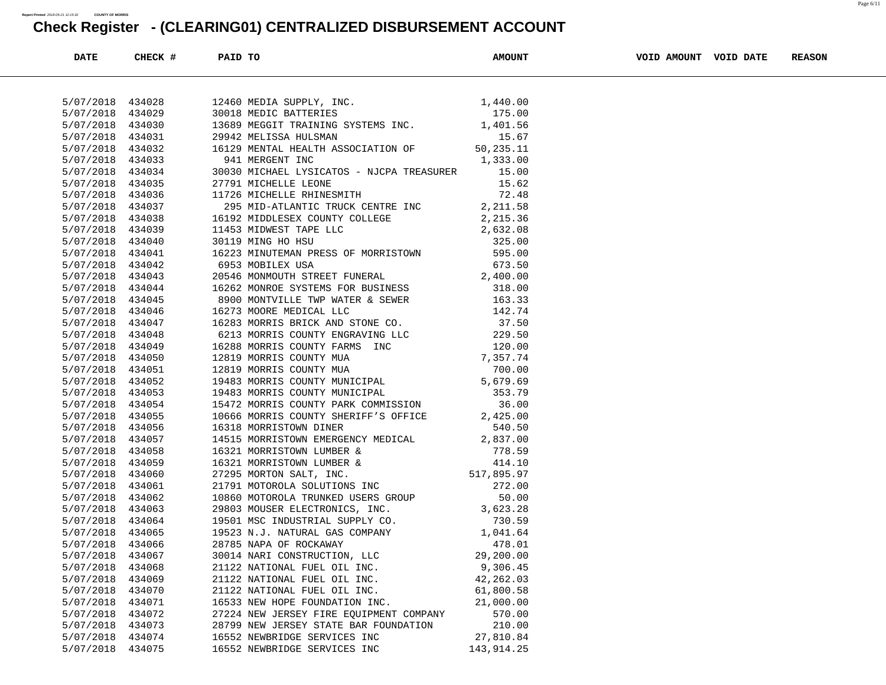| <b>DATE</b>      | CHECK # | PAID TO |                                                                                                                                                                                                                                                       | <b>AMOUNT</b>  | VOID AMOUNT VOID DATE | <b>REASON</b> |
|------------------|---------|---------|-------------------------------------------------------------------------------------------------------------------------------------------------------------------------------------------------------------------------------------------------------|----------------|-----------------------|---------------|
|                  |         |         |                                                                                                                                                                                                                                                       |                |                       |               |
| 5/07/2018 434028 |         |         |                                                                                                                                                                                                                                                       |                |                       |               |
| 5/07/2018        | 434029  |         |                                                                                                                                                                                                                                                       |                |                       |               |
| 5/07/2018        | 434030  |         |                                                                                                                                                                                                                                                       |                |                       |               |
| 5/07/2018        | 434031  |         |                                                                                                                                                                                                                                                       |                |                       |               |
| 5/07/2018        | 434032  |         |                                                                                                                                                                                                                                                       |                |                       |               |
| 5/07/2018 434033 |         |         |                                                                                                                                                                                                                                                       |                |                       |               |
| 5/07/2018        | 434034  |         | 30030 MICHAEL LYSICATOS - NJCPA TREASURER 15.00                                                                                                                                                                                                       |                |                       |               |
| 5/07/2018        | 434035  |         |                                                                                                                                                                                                                                                       | 15.62          |                       |               |
| 5/07/2018 434036 |         |         | 27791 MICHELLE LEONE<br>11726 MICHELLE RHINESMITH                                                                                                                                                                                                     | ⊥5.6∠<br>72.48 |                       |               |
| 5/07/2018        | 434037  |         | 295 MID-ATLANTIC TRUCK CENTRE INC 2,211.58                                                                                                                                                                                                            |                |                       |               |
| 5/07/2018        | 434038  |         | 2,211.36<br>16192 MIDDLESEX COUNTY COLLEGE<br>1453 MIDWEST TAPE LLC<br>30119 MING HO HSU<br>32,632.08<br>30119 MING HO HSU<br>325.00<br>6953 MOBILEX USA<br>2,632.08<br>6953 MOBILEX USA<br>20546 MONMOUTH STREET FUNERAL<br>2,400.00<br>16262 MONROE |                |                       |               |
| 5/07/2018        | 434039  |         |                                                                                                                                                                                                                                                       |                |                       |               |
| 5/07/2018 434040 |         |         |                                                                                                                                                                                                                                                       |                |                       |               |
| 5/07/2018        | 434041  |         |                                                                                                                                                                                                                                                       |                |                       |               |
| 5/07/2018        | 434042  |         |                                                                                                                                                                                                                                                       |                |                       |               |
| 5/07/2018 434043 |         |         |                                                                                                                                                                                                                                                       |                |                       |               |
| 5/07/2018 434044 |         |         |                                                                                                                                                                                                                                                       |                |                       |               |
| 5/07/2018        | 434045  |         |                                                                                                                                                                                                                                                       |                |                       |               |
| 5/07/2018        | 434046  |         |                                                                                                                                                                                                                                                       |                |                       |               |
| 5/07/2018 434047 |         |         |                                                                                                                                                                                                                                                       |                |                       |               |
| 5/07/2018 434048 |         |         |                                                                                                                                                                                                                                                       |                |                       |               |
| 5/07/2018        | 434049  |         |                                                                                                                                                                                                                                                       |                |                       |               |
| 5/07/2018        | 434050  |         |                                                                                                                                                                                                                                                       |                |                       |               |
| 5/07/2018 434051 |         |         |                                                                                                                                                                                                                                                       |                |                       |               |
| 5/07/2018 434052 |         |         | 16262 MONROE SYSTEMS FOR BUSINESS<br>8900 MONTVILLE TWP WATER & SEWER<br>163.33<br>16273 MOORE MEDICAL LLC<br>162.74<br>16283 MORRIS BRICK AND STONE CO. 37.50<br>6213 MORRIS COUNTY ENGRAVING LLC<br>229.50<br>16288 MORRIS COUNTY FARMS INC<br>     |                |                       |               |
| 5/07/2018        | 434053  |         |                                                                                                                                                                                                                                                       |                |                       |               |
| 5/07/2018        | 434054  |         |                                                                                                                                                                                                                                                       |                |                       |               |
| 5/07/2018        | 434055  |         |                                                                                                                                                                                                                                                       |                |                       |               |
| 5/07/2018        | 434056  |         |                                                                                                                                                                                                                                                       |                |                       |               |
| 5/07/2018        | 434057  |         |                                                                                                                                                                                                                                                       |                |                       |               |
| 5/07/2018        | 434058  |         |                                                                                                                                                                                                                                                       |                |                       |               |
| 5/07/2018        | 434059  |         | 10666 MORRIS COUNTY SHERIFF'S OFFICE<br>16318 MORRISTOWN DINER<br>16318 MORRISTOWN EMERGENCY MEDICAL<br>16321 MORRISTOWN LUMBER & 778.59<br>16321 MORRISTOWN LUMBER & 778.59<br>16321 MORRISTOWN LUMBER & 778.59<br>16321 MORRISTOWN LUMBE            |                |                       |               |
| 5/07/2018        | 434060  |         |                                                                                                                                                                                                                                                       |                |                       |               |
| 5/07/2018        | 434061  |         |                                                                                                                                                                                                                                                       |                |                       |               |
| 5/07/2018        | 434062  |         |                                                                                                                                                                                                                                                       |                |                       |               |
| 5/07/2018        | 434063  |         |                                                                                                                                                                                                                                                       |                |                       |               |
| 5/07/2018        | 434064  |         |                                                                                                                                                                                                                                                       |                |                       |               |
| 5/07/2018        | 434065  |         |                                                                                                                                                                                                                                                       |                |                       |               |
| 5/07/2018 434066 |         |         |                                                                                                                                                                                                                                                       |                |                       |               |
| 5/07/2018        | 434067  |         | 30014 NARI CONSTRUCTION, LLC                                                                                                                                                                                                                          | 29,200.00      |                       |               |
| 5/07/2018        | 434068  |         | 21122 NATIONAL FUEL OIL INC.                                                                                                                                                                                                                          | 9,306.45       |                       |               |
| 5/07/2018        | 434069  |         | 21122 NATIONAL FUEL OIL INC.                                                                                                                                                                                                                          | 42, 262.03     |                       |               |
| 5/07/2018        | 434070  |         | 21122 NATIONAL FUEL OIL INC.                                                                                                                                                                                                                          | 61,800.58      |                       |               |
| 5/07/2018        | 434071  |         | 16533 NEW HOPE FOUNDATION INC.                                                                                                                                                                                                                        | 21,000.00      |                       |               |
| 5/07/2018        | 434072  |         | 27224 NEW JERSEY FIRE EQUIPMENT COMPANY                                                                                                                                                                                                               | 570.00         |                       |               |
| 5/07/2018        | 434073  |         | 28799 NEW JERSEY STATE BAR FOUNDATION                                                                                                                                                                                                                 | 210.00         |                       |               |
| 5/07/2018        | 434074  |         | 16552 NEWBRIDGE SERVICES INC                                                                                                                                                                                                                          | 27,810.84      |                       |               |
| 5/07/2018        | 434075  |         | 16552 NEWBRIDGE SERVICES INC                                                                                                                                                                                                                          | 143,914.25     |                       |               |
|                  |         |         |                                                                                                                                                                                                                                                       |                |                       |               |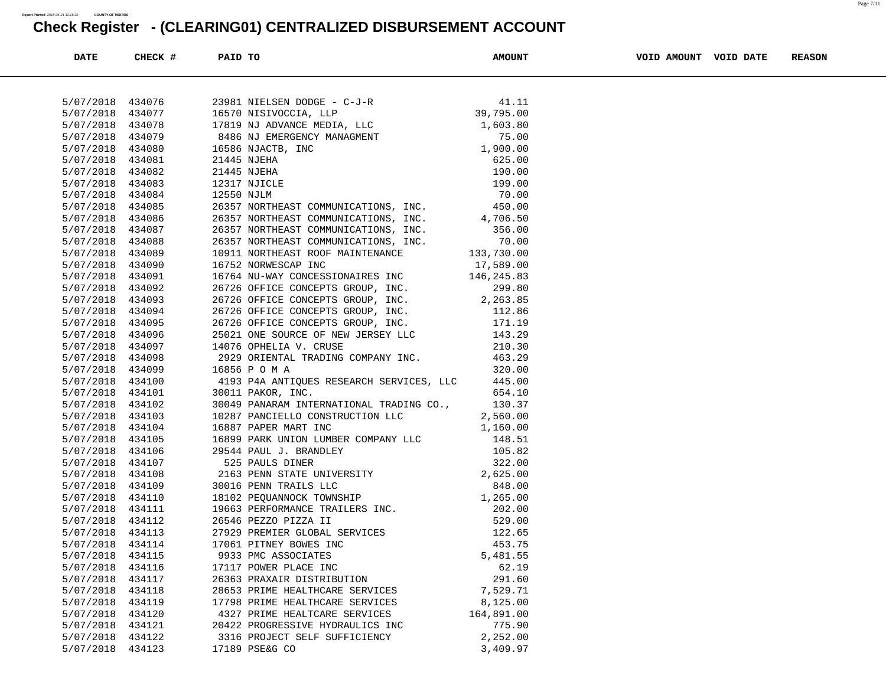| <b>DATE</b>                          | CHECK #          | PAID TO |                                                                                                                                                                                                                                                        | <b>AMOUNT</b> | VOID AMOUNT VOID DATE | <b>REASON</b> |
|--------------------------------------|------------------|---------|--------------------------------------------------------------------------------------------------------------------------------------------------------------------------------------------------------------------------------------------------------|---------------|-----------------------|---------------|
|                                      |                  |         |                                                                                                                                                                                                                                                        |               |                       |               |
| 5/07/2018 434076                     |                  |         |                                                                                                                                                                                                                                                        |               |                       |               |
|                                      | 5/07/2018 434077 |         |                                                                                                                                                                                                                                                        |               |                       |               |
| 5/07/2018 434078                     |                  |         |                                                                                                                                                                                                                                                        |               |                       |               |
| 5/07/2018 434079                     |                  |         |                                                                                                                                                                                                                                                        |               |                       |               |
| 5/07/2018 434080                     |                  |         |                                                                                                                                                                                                                                                        |               |                       |               |
| 5/07/2018 434081                     |                  |         |                                                                                                                                                                                                                                                        |               |                       |               |
| 5/07/2018 434082                     |                  |         |                                                                                                                                                                                                                                                        |               |                       |               |
| 5/07/2018 434083                     |                  |         |                                                                                                                                                                                                                                                        |               |                       |               |
| 5/07/2018 434084                     |                  |         |                                                                                                                                                                                                                                                        |               |                       |               |
| 5/07/2018 434085                     |                  |         |                                                                                                                                                                                                                                                        |               |                       |               |
| 5/07/2018 434086                     |                  |         | 26357 NORTHEAST COMMUNICATIONS, INC. 4,706.50                                                                                                                                                                                                          |               |                       |               |
| 5/07/2018 434087                     |                  |         |                                                                                                                                                                                                                                                        |               |                       |               |
| 5/07/2018 434088                     |                  |         | 26357 NORTHEAST COMMUNICATIONS, INC. 356.00<br>26357 NORTHEAST COMMUNICATIONS, INC. 70.00<br>10911 NORTHEAST ROOF MAINTENANCE 133,730.00                                                                                                               |               |                       |               |
| 5/07/2018 434089                     |                  |         |                                                                                                                                                                                                                                                        |               |                       |               |
| 5/07/2018 434090                     |                  |         |                                                                                                                                                                                                                                                        |               |                       |               |
| 5/07/2018 434091                     |                  |         |                                                                                                                                                                                                                                                        |               |                       |               |
| 5/07/2018 434092                     |                  |         |                                                                                                                                                                                                                                                        |               |                       |               |
| 5/07/2018 434093                     |                  |         |                                                                                                                                                                                                                                                        |               |                       |               |
| 5/07/2018 434094                     |                  |         |                                                                                                                                                                                                                                                        |               |                       |               |
| 5/07/2018 434095                     |                  |         |                                                                                                                                                                                                                                                        |               |                       |               |
| 5/07/2018 434096                     |                  |         |                                                                                                                                                                                                                                                        |               |                       |               |
|                                      |                  |         |                                                                                                                                                                                                                                                        |               |                       |               |
| 5/07/2018 434097                     |                  |         |                                                                                                                                                                                                                                                        |               |                       |               |
| 5/07/2018 434098<br>5/07/2018 434099 |                  |         | 10911 NORTHEAST ROOF MAINTENANCE<br>16752 NORWESCAP INC<br>16752 NORWESCAP INC<br>16764 NU-WAY CONCESSIONAIRES INC<br>16752 NORWESCAP INC<br>17,589.00<br>16764 NU-WAY CONCESSIONAIRES INC<br>17,589.00<br>26726 OFFICE CONCEPTS GROUP, INC.<br>       |               |                       |               |
|                                      |                  |         | 4193 P4A ANTIQUES RESEARCH SERVICES, LLC 445.00                                                                                                                                                                                                        |               |                       |               |
| 5/07/2018 434100                     |                  |         |                                                                                                                                                                                                                                                        |               |                       |               |
| 5/07/2018 434101                     |                  |         | 654.10<br>30011 PAKOR, INC.                                                                                                                                                                                                                            |               |                       |               |
| 5/07/2018 434102                     |                  |         | 30049 PANARAM INTERNATIONAL TRADING CO., 130.37                                                                                                                                                                                                        |               |                       |               |
| 5/07/2018 434103                     |                  |         | 10287 PANCIELLO CONSTRUCTION LLC 2,560.00<br>16887 PAPER MART INC 1,160.00                                                                                                                                                                             |               |                       |               |
| 5/07/2018 434104                     |                  |         |                                                                                                                                                                                                                                                        |               |                       |               |
| 5/07/2018 434105                     |                  |         |                                                                                                                                                                                                                                                        |               |                       |               |
| 5/07/2018 434106                     |                  |         |                                                                                                                                                                                                                                                        |               |                       |               |
| 5/07/2018 434107                     |                  |         | 1,160.00<br>16887 PAPER MART INC<br>16899 PARK UNION LUMBER COMPANY LLC<br>148.51<br>29544 PAUL J. BRANDLEY<br>525 PAULS DINER<br>525 PAULS DINER<br>322.00<br>2163 PENN STATE UNIVERSITY<br>322.00<br>2016 PENN TRAILS LLC<br>848.00<br>18102 PEQUANN |               |                       |               |
| 5/07/2018 434108                     |                  |         |                                                                                                                                                                                                                                                        |               |                       |               |
| 5/07/2018                            | 434109           |         |                                                                                                                                                                                                                                                        |               |                       |               |
| 5/07/2018 434110                     |                  |         |                                                                                                                                                                                                                                                        |               |                       |               |
| 5/07/2018 434111                     |                  |         |                                                                                                                                                                                                                                                        |               |                       |               |
| 5/07/2018 434112                     |                  |         |                                                                                                                                                                                                                                                        |               |                       |               |
| 5/07/2018 434113                     |                  |         |                                                                                                                                                                                                                                                        |               |                       |               |
| 5/07/2018 434114                     |                  |         |                                                                                                                                                                                                                                                        |               |                       |               |
| 5/07/2018                            | 434115           |         | 9933 PMC ASSOCIATES                                                                                                                                                                                                                                    | 5,481.55      |                       |               |
| 5/07/2018                            | 434116           |         | 17117 POWER PLACE INC                                                                                                                                                                                                                                  | 62.19         |                       |               |
| 5/07/2018                            | 434117           |         | 26363 PRAXAIR DISTRIBUTION                                                                                                                                                                                                                             | 291.60        |                       |               |
| 5/07/2018                            | 434118           |         | 28653 PRIME HEALTHCARE SERVICES                                                                                                                                                                                                                        | 7,529.71      |                       |               |
| 5/07/2018                            | 434119           |         | 17798 PRIME HEALTHCARE SERVICES                                                                                                                                                                                                                        | 8,125.00      |                       |               |
| 5/07/2018                            | 434120           |         | 4327 PRIME HEALTCARE SERVICES                                                                                                                                                                                                                          | 164,891.00    |                       |               |
| 5/07/2018                            | 434121           |         | 20422 PROGRESSIVE HYDRAULICS INC                                                                                                                                                                                                                       | 775.90        |                       |               |
| 5/07/2018                            | 434122           |         | 3316 PROJECT SELF SUFFICIENCY                                                                                                                                                                                                                          | 2,252.00      |                       |               |
| 5/07/2018                            | 434123           |         | 17189 PSE&G CO                                                                                                                                                                                                                                         | 3,409.97      |                       |               |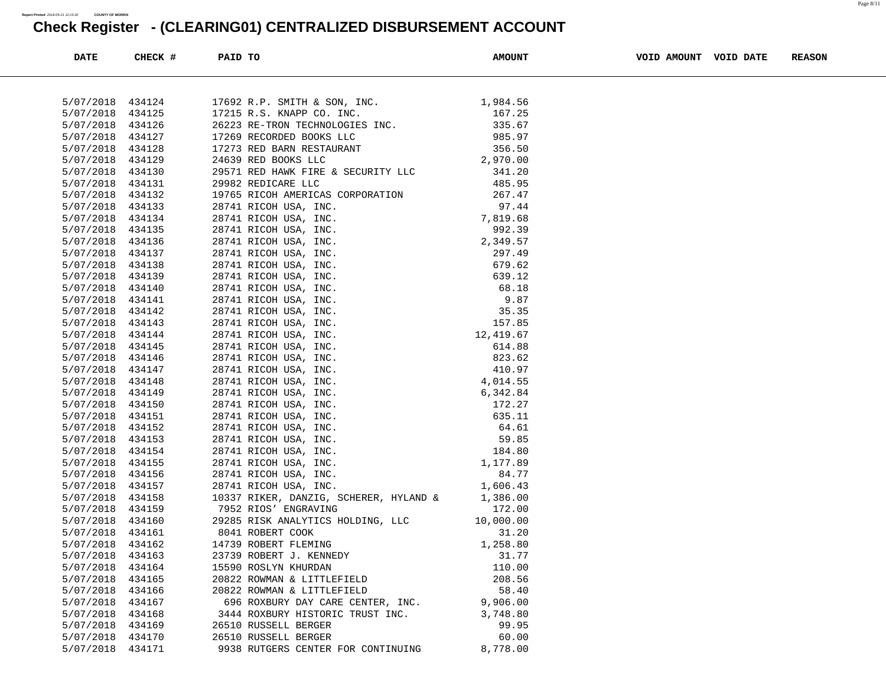| DATE      | CHECK # | PAID TO                                                                                                                                                             | <b>AMOUNT</b> | VOID AMOUNT VOID DATE | <b>REASON</b> |
|-----------|---------|---------------------------------------------------------------------------------------------------------------------------------------------------------------------|---------------|-----------------------|---------------|
|           |         |                                                                                                                                                                     |               |                       |               |
| 5/07/2018 | 434124  | 17692 R.P. SMITH & SON, INC.                                                                                                                                        | 1,984.56      |                       |               |
| 5/07/2018 | 434125  |                                                                                                                                                                     | 167.25        |                       |               |
| 5/07/2018 | 434126  |                                                                                                                                                                     | 335.67        |                       |               |
| 5/07/2018 | 434127  |                                                                                                                                                                     | 985.97        |                       |               |
| 5/07/2018 | 434128  |                                                                                                                                                                     | 356.50        |                       |               |
| 5/07/2018 | 434129  | 17215 R.S. KNAPP CO. INC.<br>26223 RE-TRON TECHNOLOGIES INC.<br>17269 RECORDED BOOKS LLC<br>17273 RED BARN RESTAURANT<br>24639 RED BOOKS LLC<br>00571 RED BOOKS LLC | 2,970.00      |                       |               |
| 5/07/2018 | 434130  | 29571 RED HAWK FIRE & SECURITY LLC 341.20                                                                                                                           |               |                       |               |
| 5/07/2018 | 434131  |                                                                                                                                                                     |               |                       |               |
| 5/07/2018 | 434132  |                                                                                                                                                                     |               |                       |               |
| 5/07/2018 | 434133  |                                                                                                                                                                     |               |                       |               |
| 5/07/2018 | 434134  |                                                                                                                                                                     |               |                       |               |
| 5/07/2018 | 434135  |                                                                                                                                                                     |               |                       |               |
| 5/07/2018 | 434136  |                                                                                                                                                                     |               |                       |               |
| 5/07/2018 | 434137  |                                                                                                                                                                     |               |                       |               |
| 5/07/2018 | 434138  |                                                                                                                                                                     |               |                       |               |
| 5/07/2018 | 434139  |                                                                                                                                                                     |               |                       |               |
| 5/07/2018 | 434140  |                                                                                                                                                                     |               |                       |               |
| 5/07/2018 | 434141  |                                                                                                                                                                     |               |                       |               |
| 5/07/2018 | 434142  |                                                                                                                                                                     |               |                       |               |
| 5/07/2018 | 434143  |                                                                                                                                                                     |               |                       |               |
| 5/07/2018 | 434144  |                                                                                                                                                                     |               |                       |               |
| 5/07/2018 | 434145  |                                                                                                                                                                     |               |                       |               |
| 5/07/2018 | 434146  |                                                                                                                                                                     |               |                       |               |
| 5/07/2018 | 434147  |                                                                                                                                                                     |               |                       |               |
| 5/07/2018 | 434148  |                                                                                                                                                                     |               |                       |               |
| 5/07/2018 | 434149  |                                                                                                                                                                     |               |                       |               |
| 5/07/2018 | 434150  |                                                                                                                                                                     |               |                       |               |
| 5/07/2018 | 434151  |                                                                                                                                                                     |               |                       |               |
| 5/07/2018 | 434152  |                                                                                                                                                                     |               |                       |               |
| 5/07/2018 | 434153  |                                                                                                                                                                     |               |                       |               |
| 5/07/2018 | 434154  |                                                                                                                                                                     |               |                       |               |
| 5/07/2018 | 434155  |                                                                                                                                                                     |               |                       |               |
| 5/07/2018 | 434156  |                                                                                                                                                                     |               |                       |               |
| 5/07/2018 | 434157  |                                                                                                                                                                     |               |                       |               |
| 5/07/2018 | 434158  | 10337 RIKER, DANZIG, SCHERER, HYLAND &                                                                                                                              | 1,386.00      |                       |               |
| 5/07/2018 | 434159  | 7952 RIOS' ENGRAVING                                                                                                                                                | 172.00        |                       |               |
| 5/07/2018 | 434160  | 29285 RISK ANALYTICS HOLDING, LLC                                                                                                                                   | 10,000.00     |                       |               |
| 5/07/2018 | 434161  | 8041 ROBERT COOK                                                                                                                                                    | 31.20         |                       |               |
| 5/07/2018 | 434162  | 14739 ROBERT FLEMING                                                                                                                                                | 1,258.80      |                       |               |
| 5/07/2018 | 434163  | 23739 ROBERT J. KENNEDY                                                                                                                                             | 31.77         |                       |               |
| 5/07/2018 | 434164  | 15590 ROSLYN KHURDAN                                                                                                                                                | 110.00        |                       |               |
| 5/07/2018 | 434165  | 20822 ROWMAN & LITTLEFIELD                                                                                                                                          | 208.56        |                       |               |
| 5/07/2018 | 434166  | 20822 ROWMAN & LITTLEFIELD                                                                                                                                          | 58.40         |                       |               |
| 5/07/2018 | 434167  | 696 ROXBURY DAY CARE CENTER, INC.                                                                                                                                   | 9,906.00      |                       |               |
| 5/07/2018 | 434168  | 3444 ROXBURY HISTORIC TRUST INC.                                                                                                                                    | 3,748.80      |                       |               |
| 5/07/2018 | 434169  | 26510 RUSSELL BERGER                                                                                                                                                | 99.95         |                       |               |
| 5/07/2018 | 434170  | 26510 RUSSELL BERGER                                                                                                                                                | 60.00         |                       |               |
| 5/07/2018 | 434171  | 9938 RUTGERS CENTER FOR CONTINUING                                                                                                                                  | 8,778.00      |                       |               |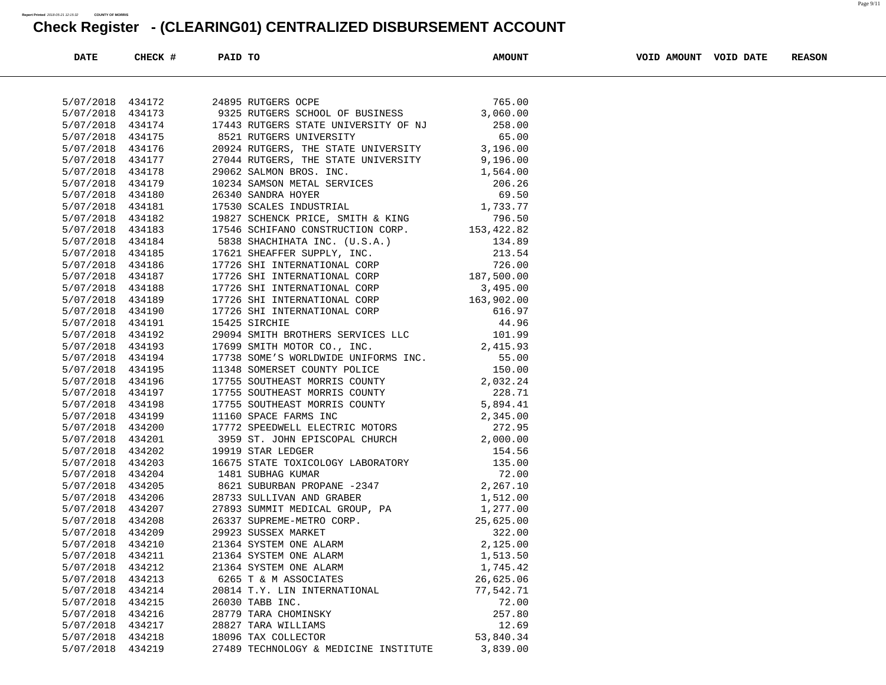| <b>DATE</b>      | CHECK # | PAID TO                                                                                                                                                                                                                                    | <b>AMOUNT</b> | VOID AMOUNT VOID DATE | <b>REASON</b> |
|------------------|---------|--------------------------------------------------------------------------------------------------------------------------------------------------------------------------------------------------------------------------------------------|---------------|-----------------------|---------------|
|                  |         |                                                                                                                                                                                                                                            |               |                       |               |
| 5/07/2018 434172 |         | 24895 RUTGERS OCPE                                                                                                                                                                                                                         |               |                       |               |
| 5/07/2018        | 434173  | 24895 RUTGERS OCPE 64895 RUTGERS OCPE 65.00<br>9325 RUTGERS SCHOOL OF BUSINESS 3,060.00                                                                                                                                                    |               |                       |               |
| 5/07/2018        | 434174  | 17443 RUTGERS STATE UNIVERSITY OF NJ<br>17443 RUTGERS STATE UNIVERSITY OF NJ<br>258.00<br>259.00<br>259.00<br>27044 RUTGERS, THE STATE UNIVERSITY 3,196.00<br>27044 RUTGERS, THE STATE UNIVERSITY 9,196.00                                 |               |                       |               |
| 5/07/2018        | 434175  |                                                                                                                                                                                                                                            |               |                       |               |
| 5/07/2018        | 434176  |                                                                                                                                                                                                                                            |               |                       |               |
| 5/07/2018        | 434177  |                                                                                                                                                                                                                                            |               |                       |               |
| 5/07/2018        | 434178  |                                                                                                                                                                                                                                            |               |                       |               |
| 5/07/2018        | 434179  |                                                                                                                                                                                                                                            |               |                       |               |
| 5/07/2018        | 434180  |                                                                                                                                                                                                                                            |               |                       |               |
| 5/07/2018        | 434181  |                                                                                                                                                                                                                                            |               |                       |               |
| 5/07/2018        | 434182  |                                                                                                                                                                                                                                            |               |                       |               |
| 5/07/2018        | 434183  |                                                                                                                                                                                                                                            |               |                       |               |
| 5/07/2018        | 434184  |                                                                                                                                                                                                                                            |               |                       |               |
| 5/07/2018        | 434185  |                                                                                                                                                                                                                                            |               |                       |               |
| 5/07/2018        | 434186  |                                                                                                                                                                                                                                            |               |                       |               |
| 5/07/2018        | 434187  |                                                                                                                                                                                                                                            |               |                       |               |
| 5/07/2018        | 434188  |                                                                                                                                                                                                                                            |               |                       |               |
| 5/07/2018        | 434189  |                                                                                                                                                                                                                                            |               |                       |               |
| 5/07/2018        | 434190  |                                                                                                                                                                                                                                            |               |                       |               |
| 5/07/2018        | 434191  |                                                                                                                                                                                                                                            |               |                       |               |
| 5/07/2018        | 434192  |                                                                                                                                                                                                                                            |               |                       |               |
| 5/07/2018        | 434193  | 17699 SMITH MOTOR CO., INC. 2,415.93                                                                                                                                                                                                       |               |                       |               |
| 5/07/2018        | 434194  |                                                                                                                                                                                                                                            |               |                       |               |
| 5/07/2018        | 434195  |                                                                                                                                                                                                                                            |               |                       |               |
| 5/07/2018        | 434196  | 17738 SOME'S WORLDWIDE UNIFORMS INC.<br>1348 SOMERSET COUNTY POLICE<br>17755 SOUTHEAST MORRIS COUNTY 2,032.24                                                                                                                              |               |                       |               |
| 5/07/2018        | 434197  | 17755 SOUTHEAST MORRIS COUNTY 228.71                                                                                                                                                                                                       |               |                       |               |
| 5/07/2018        | 434198  | 17755 SOUTHEAST MORRIS COUNTY 5,894.41<br>11160 SPACE FARMS INC 2,345.00<br>17772 SPEEDWELL ELECTRIC MOTORS 272.95                                                                                                                         |               |                       |               |
| 5/07/2018        | 434199  |                                                                                                                                                                                                                                            |               |                       |               |
| 5/07/2018        | 434200  |                                                                                                                                                                                                                                            |               |                       |               |
| 5/07/2018        | 434201  | 3959 ST. JOHN EPISCOPAL CHURCH 2,000.00                                                                                                                                                                                                    |               |                       |               |
| 5/07/2018        | 434202  |                                                                                                                                                                                                                                            |               |                       |               |
| 5/07/2018        | 434203  |                                                                                                                                                                                                                                            |               |                       |               |
| 5/07/2018        | 434204  | 3939 ST. JOIN EFISCOFAL CHORCH 2,000.00<br>1918 STAR LEDGER<br>16675 STATE TOXICOLOGY LABORATORY 135.00<br>1481 SUBIRAG KUMAR 72.00<br>8621 SUBURBAN PROPANE -2347 2,267.10<br>2833 SULLIVAN AND GRABER 1,512.00<br>27893 SUMMIT MEDICAL G |               |                       |               |
| 5/07/2018        | 434205  |                                                                                                                                                                                                                                            |               |                       |               |
| 5/07/2018        | 434206  |                                                                                                                                                                                                                                            |               |                       |               |
| 5/07/2018        | 434207  |                                                                                                                                                                                                                                            |               |                       |               |
| 5/07/2018        | 434208  |                                                                                                                                                                                                                                            |               |                       |               |
| 5/07/2018        | 434209  | 29923 SUSSEX MARKET                                                                                                                                                                                                                        | 322.00        |                       |               |
| 5/07/2018        | 434210  | 21364 SYSTEM ONE ALARM                                                                                                                                                                                                                     | 2,125.00      |                       |               |
| 5/07/2018        | 434211  | 21364 SYSTEM ONE ALARM                                                                                                                                                                                                                     | 1,513.50      |                       |               |
| 5/07/2018        | 434212  | 21364 SYSTEM ONE ALARM                                                                                                                                                                                                                     | 1,745.42      |                       |               |
| 5/07/2018        | 434213  | 6265 T & M ASSOCIATES                                                                                                                                                                                                                      | 26,625.06     |                       |               |
| 5/07/2018        | 434214  | 20814 T.Y. LIN INTERNATIONAL                                                                                                                                                                                                               | 77,542.71     |                       |               |
| 5/07/2018        | 434215  | 26030 TABB INC.                                                                                                                                                                                                                            | 72.00         |                       |               |
| 5/07/2018        | 434216  | 28779 TARA CHOMINSKY                                                                                                                                                                                                                       | 257.80        |                       |               |
| 5/07/2018        | 434217  | 28827 TARA WILLIAMS                                                                                                                                                                                                                        | 12.69         |                       |               |
| 5/07/2018        | 434218  | 18096 TAX COLLECTOR                                                                                                                                                                                                                        | 53,840.34     |                       |               |
| 5/07/2018        | 434219  | 27489 TECHNOLOGY & MEDICINE INSTITUTE                                                                                                                                                                                                      | 3,839.00      |                       |               |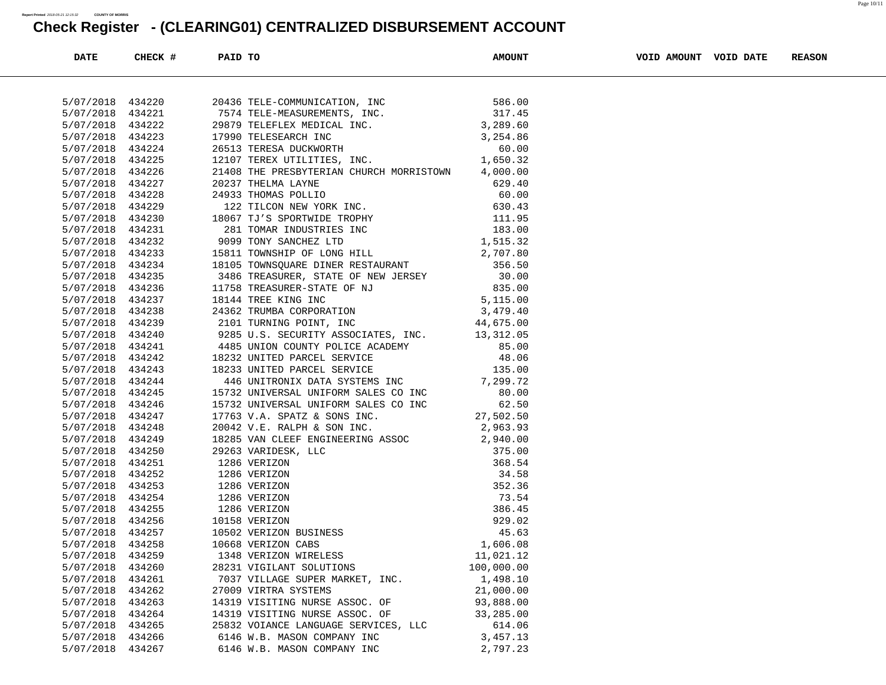| <b>DATE</b>                   | CHECK # | PAID TO |                                                                                                                                                                                                                                                  | <b>AMOUNT</b> | VOID AMOUNT VOID DATE | <b>REASON</b> |
|-------------------------------|---------|---------|--------------------------------------------------------------------------------------------------------------------------------------------------------------------------------------------------------------------------------------------------|---------------|-----------------------|---------------|
|                               |         |         |                                                                                                                                                                                                                                                  |               |                       |               |
| 5/07/2018 434220              |         |         |                                                                                                                                                                                                                                                  |               |                       |               |
| 5/07/2018 434221              |         |         |                                                                                                                                                                                                                                                  |               |                       |               |
| 5/07/2018 434222              |         |         |                                                                                                                                                                                                                                                  |               |                       |               |
| 5/07/2018                     | 434223  |         |                                                                                                                                                                                                                                                  |               |                       |               |
| 5/07/2018 434224              |         |         |                                                                                                                                                                                                                                                  |               |                       |               |
| 5/07/2018 434225              |         |         |                                                                                                                                                                                                                                                  |               |                       |               |
| 5/07/2018                     | 434226  |         | 21408 THE PRESBYTERIAN CHURCH MORRISTOWN 4,000.00                                                                                                                                                                                                |               |                       |               |
| 5/07/2018                     | 434227  |         |                                                                                                                                                                                                                                                  |               |                       |               |
| 5/07/2018 434228              |         |         |                                                                                                                                                                                                                                                  |               |                       |               |
| 5/07/2018 434229              |         |         |                                                                                                                                                                                                                                                  |               |                       |               |
| 5/07/2018                     | 434230  |         |                                                                                                                                                                                                                                                  |               |                       |               |
| 5/07/2018 434231              |         |         |                                                                                                                                                                                                                                                  |               |                       |               |
| 5/07/2018 434232              |         |         |                                                                                                                                                                                                                                                  |               |                       |               |
| 5/07/2018 434233              |         |         |                                                                                                                                                                                                                                                  |               |                       |               |
| 5/07/2018                     | 434234  |         |                                                                                                                                                                                                                                                  |               |                       |               |
| 5/07/2018 434235              |         |         |                                                                                                                                                                                                                                                  |               |                       |               |
| 5/07/2018 434236              |         |         |                                                                                                                                                                                                                                                  |               |                       |               |
| 5/07/2018 434237              |         |         |                                                                                                                                                                                                                                                  |               |                       |               |
| 5/07/2018                     | 434238  |         |                                                                                                                                                                                                                                                  |               |                       |               |
| 5/07/2018 434239              |         |         | $24362 \text{ TRUMBA CORPORTION} \hspace{3.8cm} 3,479.40 \\ 2101 \text{ TURNING POINT, INC} \hspace{3.8cm} 44,675.00$                                                                                                                            |               |                       |               |
|                               |         |         | 9285 U.S. SECURITY ASSOCIATES, INC. 13,312.05                                                                                                                                                                                                    |               |                       |               |
| 5/07/2018 434240              |         |         |                                                                                                                                                                                                                                                  |               |                       |               |
| 5/07/2018<br>5/07/2018 434242 | 434241  |         |                                                                                                                                                                                                                                                  |               |                       |               |
|                               |         |         | 18232 UNITED PARCEL SERVICE                                                                                                                                                                                                                      |               |                       |               |
| 5/07/2018 434243              |         |         | 4485 UNION COUNTY POLICE ACADEMY<br>18232 UNITED PARCEL SERVICE<br>18233 UNITED PARCEL SERVICE<br>18233 UNITED PARCEL SERVICE<br>446 UNITRONIX DATA SYSTEMS INC<br>7,299.72<br>18233 UNITED PARCEL SERVICE                                       |               |                       |               |
| 5/07/2018 434244              |         |         |                                                                                                                                                                                                                                                  |               |                       |               |
| 5/07/2018                     | 434245  |         |                                                                                                                                                                                                                                                  |               |                       |               |
| 5/07/2018 434246              |         |         | 15732 UNIVERSAL UNIFORM SALES CO INC 80.00<br>15732 UNIVERSAL UNIFORM SALES CO INC 62.50<br>17763 V.A. SPATZ & SONS INC. 27,502.50                                                                                                               |               |                       |               |
| 5/07/2018 434247              |         |         |                                                                                                                                                                                                                                                  |               |                       |               |
| 5/07/2018 434248              |         |         | 2,963.93<br>20042 V.E. RALPH & SON INC.                                                                                                                                                                                                          |               |                       |               |
| 5/07/2018                     | 434249  |         |                                                                                                                                                                                                                                                  |               |                       |               |
| 5/07/2018 434250              |         |         |                                                                                                                                                                                                                                                  |               |                       |               |
| 5/07/2018 434251              |         |         | 20042 V.E. RALPH & SON INC.<br>2,963.93<br>18285 VAN CLEEF ENGINEERING ASSOC 2,940.00<br>29263 VARIDESK, LLC 375.00<br>1286 VERIZON 368.54<br>1286 VERIZON 34.58<br>1286 VERIZON 352.36<br>1286 VERIZON 73.54<br>1286 VERIZON 73.54<br>10158 VER |               |                       |               |
| 5/07/2018 434252              |         |         |                                                                                                                                                                                                                                                  |               |                       |               |
| 5/07/2018                     | 434253  |         |                                                                                                                                                                                                                                                  |               |                       |               |
| 5/07/2018 434254              |         |         |                                                                                                                                                                                                                                                  |               |                       |               |
| 5/07/2018 434255              |         |         |                                                                                                                                                                                                                                                  |               |                       |               |
| 5/07/2018 434256              |         |         |                                                                                                                                                                                                                                                  |               |                       |               |
| 5/07/2018 434257              |         |         |                                                                                                                                                                                                                                                  |               |                       |               |
| 5/07/2018 434258              |         |         |                                                                                                                                                                                                                                                  |               |                       |               |
| 5/07/2018                     | 434259  |         | 1348 VERIZON WIRELESS                                                                                                                                                                                                                            | 11,021.12     |                       |               |
| 5/07/2018                     | 434260  |         | 28231 VIGILANT SOLUTIONS                                                                                                                                                                                                                         | 100,000.00    |                       |               |
| 5/07/2018                     | 434261  |         | 7037 VILLAGE SUPER MARKET, INC.                                                                                                                                                                                                                  | 1,498.10      |                       |               |
| 5/07/2018                     | 434262  |         | 27009 VIRTRA SYSTEMS                                                                                                                                                                                                                             | 21,000.00     |                       |               |
| 5/07/2018                     | 434263  |         | 14319 VISITING NURSE ASSOC. OF                                                                                                                                                                                                                   | 93,888.00     |                       |               |
| 5/07/2018                     | 434264  |         | 14319 VISITING NURSE ASSOC. OF                                                                                                                                                                                                                   | 33,285.00     |                       |               |
| 5/07/2018                     | 434265  |         | 25832 VOIANCE LANGUAGE SERVICES, LLC                                                                                                                                                                                                             | 614.06        |                       |               |
| 5/07/2018                     | 434266  |         | 6146 W.B. MASON COMPANY INC                                                                                                                                                                                                                      | 3, 457. 13    |                       |               |
| 5/07/2018                     | 434267  |         | 6146 W.B. MASON COMPANY INC                                                                                                                                                                                                                      | 2,797.23      |                       |               |